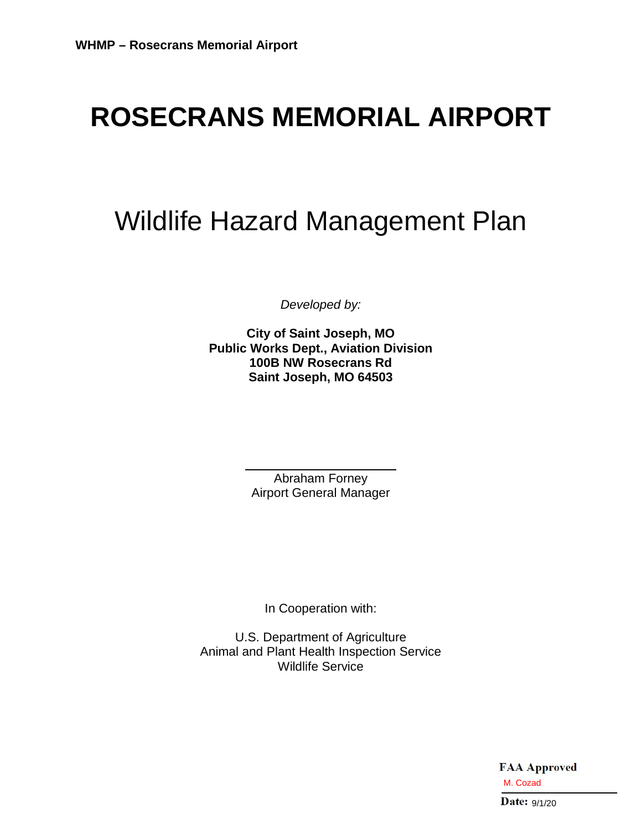# **ROSECRANS MEMORIAL AIRPORT**

# Wildlife Hazard Management Plan

*Developed by:*

**City of Saint Joseph, MO Public Works Dept., Aviation Division 100B NW Rosecrans Rd Saint Joseph, MO 64503**

> Abraham Forney Airport General Manager

In Cooperation with:

U.S. Department of Agriculture Animal and Plant Health Inspection Service Wildlife Service

> **FAA Approved** M. Cozad<br>Date:  $9/1/20$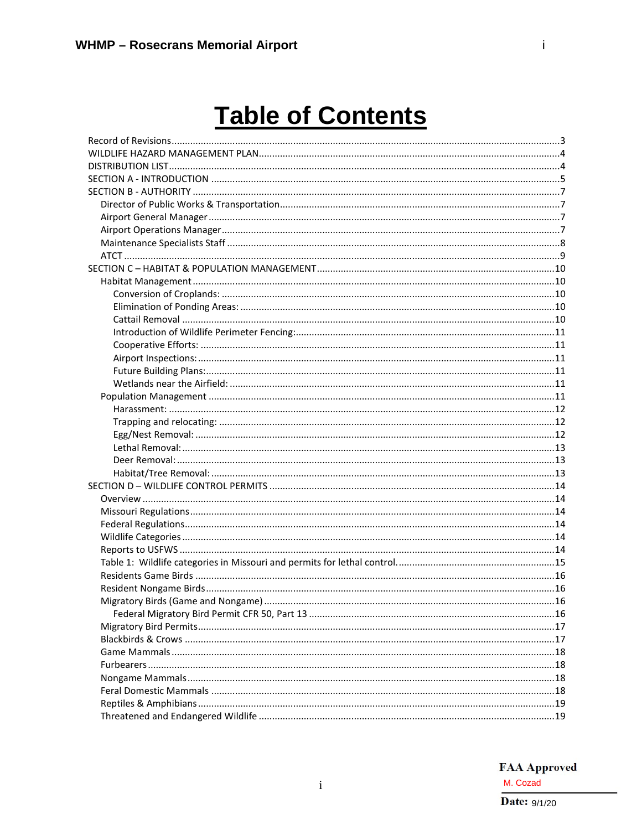# **Table of Contents**

 $\mathbf{i}$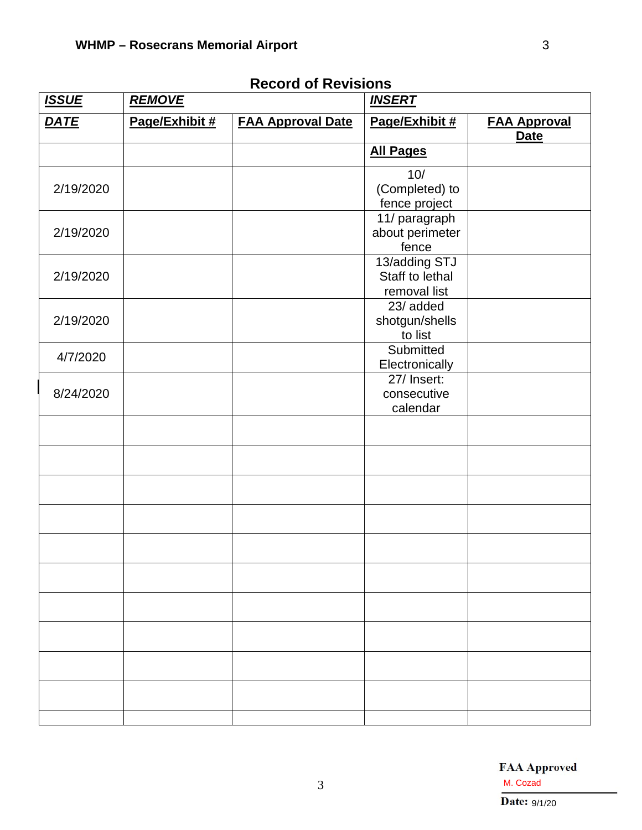<span id="page-3-0"></span>

| <b>ISSUE</b> | <b>REMOVE</b>  |                          | <b>INSERT</b>          |                     |
|--------------|----------------|--------------------------|------------------------|---------------------|
| <b>DATE</b>  | Page/Exhibit # | <b>FAA Approval Date</b> | Page/Exhibit #         | <b>FAA Approval</b> |
|              |                |                          |                        | <b>Date</b>         |
|              |                |                          | <b>All Pages</b>       |                     |
|              |                |                          | 10/                    |                     |
| 2/19/2020    |                |                          | (Completed) to         |                     |
|              |                |                          | fence project          |                     |
|              |                |                          | 11/ paragraph          |                     |
| 2/19/2020    |                |                          | about perimeter        |                     |
|              |                |                          | fence<br>13/adding STJ |                     |
| 2/19/2020    |                |                          | Staff to lethal        |                     |
|              |                |                          | removal list           |                     |
|              |                |                          | 23/ added              |                     |
| 2/19/2020    |                |                          | shotgun/shells         |                     |
|              |                |                          | to list                |                     |
| 4/7/2020     |                |                          | Submitted              |                     |
|              |                |                          | Electronically         |                     |
|              |                |                          | 27/ Insert:            |                     |
| 8/24/2020    |                |                          | consecutive            |                     |
|              |                |                          | calendar               |                     |
|              |                |                          |                        |                     |
|              |                |                          |                        |                     |
|              |                |                          |                        |                     |
|              |                |                          |                        |                     |
|              |                |                          |                        |                     |
|              |                |                          |                        |                     |
|              |                |                          |                        |                     |
|              |                |                          |                        |                     |
|              |                |                          |                        |                     |
|              |                |                          |                        |                     |
|              |                |                          |                        |                     |
|              |                |                          |                        |                     |
|              |                |                          |                        |                     |
|              |                |                          |                        |                     |

# **Record of Revisions**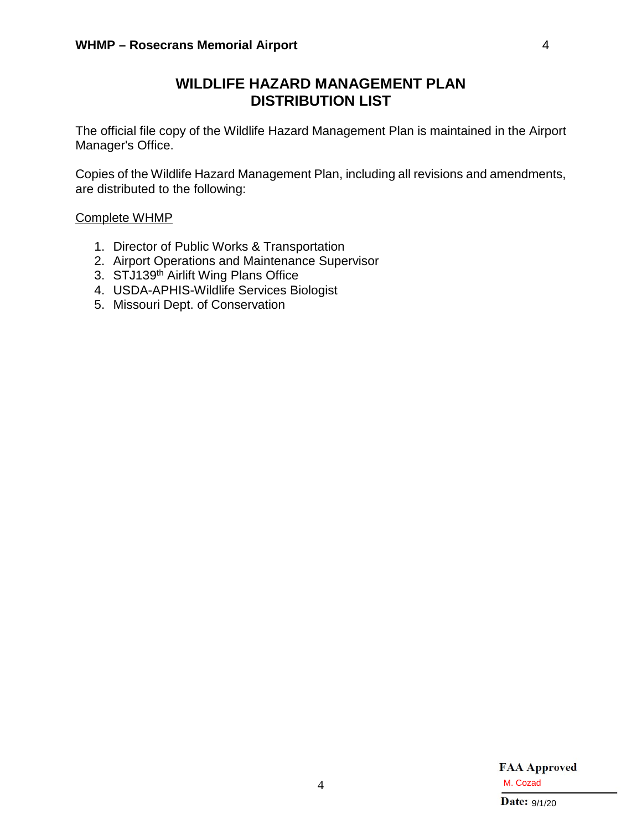# **WILDLIFE HAZARD MANAGEMENT PLAN DISTRIBUTION LIST**

<span id="page-4-1"></span><span id="page-4-0"></span>The official file copy of the Wildlife Hazard Management Plan is maintained in the Airport Manager's Office.

Copies of the Wildlife Hazard Management Plan, including all revisions and amendments, are distributed to the following:

#### Complete WHMP

- 1. Director of Public Works & Transportation
- 2. Airport Operations and Maintenance Supervisor
- 3. STJ139<sup>th</sup> Airlift Wing Plans Office
- 4. USDA-APHIS-Wildlife Services Biologist
- 5. Missouri Dept. of Conservation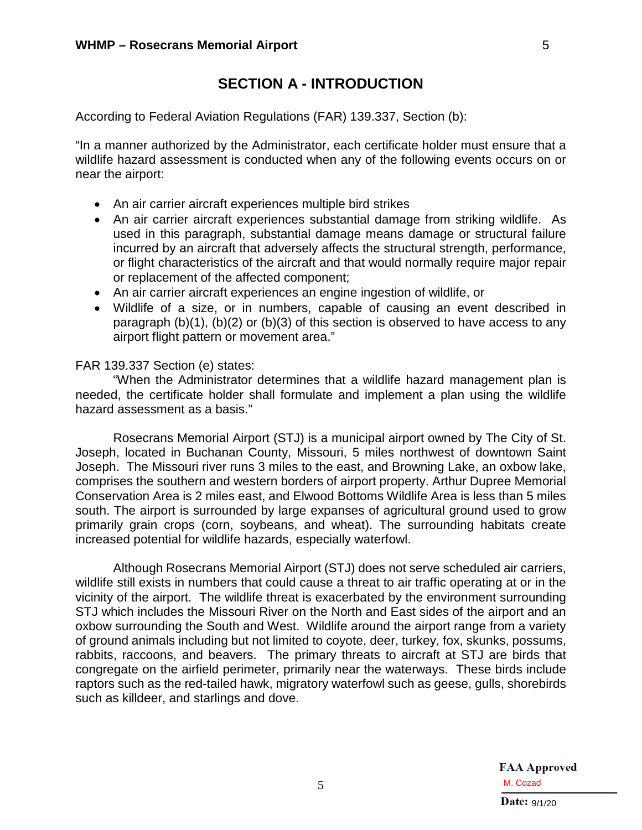# **SECTION A - INTRODUCTION**

<span id="page-5-0"></span>According to Federal Aviation Regulations (FAR) 139.337, Section (b):

"In a manner authorized by the Administrator, each certificate holder must ensure that a wildlife hazard assessment is conducted when any of the following events occurs on or near the airport:

- An air carrier aircraft experiences multiple bird strikes
- An air carrier aircraft experiences substantial damage from striking wildlife. As used in this paragraph, substantial damage means damage or structural failure incurred by an aircraft that adversely affects the structural strength, performance, or flight characteristics of the aircraft and that would normally require major repair or replacement of the affected component;
- An air carrier aircraft experiences an engine ingestion of wildlife, or
- Wildlife of a size, or in numbers, capable of causing an event described in paragraph (b)(1), (b)(2) or (b)(3) of this section is observed to have access to any airport flight pattern or movement area."

FAR 139.337 Section (e) states:

"When the Administrator determines that a wildlife hazard management plan is needed, the certificate holder shall formulate and implement a plan using the wildlife hazard assessment as a basis."

Rosecrans Memorial Airport (STJ) is a municipal airport owned by The City of St. Joseph, located in Buchanan County, Missouri, 5 miles northwest of downtown Saint Joseph. The Missouri river runs 3 miles to the east, and Browning Lake, an oxbow lake, comprises the southern and western borders of airport property. Arthur Dupree Memorial Conservation Area is 2 miles east, and Elwood Bottoms Wildlife Area is less than 5 miles south. The airport is surrounded by large expanses of agricultural ground used to grow primarily grain crops (corn, soybeans, and wheat). The surrounding habitats create increased potential for wildlife hazards, especially waterfowl.

Although Rosecrans Memorial Airport (STJ) does not serve scheduled air carriers, wildlife still exists in numbers that could cause a threat to air traffic operating at or in the vicinity of the airport. The wildlife threat is exacerbated by the environment surrounding STJ which includes the Missouri River on the North and East sides of the airport and an oxbow surrounding the South and West. Wildlife around the airport range from a variety of ground animals including but not limited to coyote, deer, turkey, fox, skunks, possums, rabbits, raccoons, and beavers. The primary threats to aircraft at STJ are birds that congregate on the airfield perimeter, primarily near the waterways. These birds include raptors such as the red-tailed hawk, migratory waterfowl such as geese, gulls, shorebirds such as killdeer, and starlings and dove.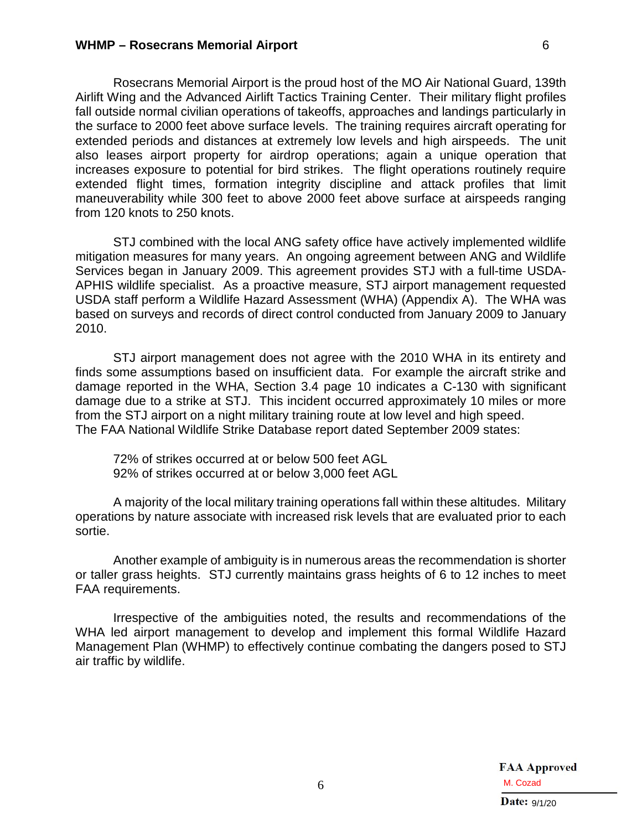Rosecrans Memorial Airport is the proud host of the MO Air National Guard, 139th Airlift Wing and the Advanced Airlift Tactics Training Center. Their military flight profiles fall outside normal civilian operations of takeoffs, approaches and landings particularly in the surface to 2000 feet above surface levels. The training requires aircraft operating for extended periods and distances at extremely low levels and high airspeeds. The unit also leases airport property for airdrop operations; again a unique operation that increases exposure to potential for bird strikes. The flight operations routinely require extended flight times, formation integrity discipline and attack profiles that limit maneuverability while 300 feet to above 2000 feet above surface at airspeeds ranging from 120 knots to 250 knots.

STJ combined with the local ANG safety office have actively implemented wildlife mitigation measures for many years. An ongoing agreement between ANG and Wildlife Services began in January 2009. This agreement provides STJ with a full-time USDA-APHIS wildlife specialist. As a proactive measure, STJ airport management requested USDA staff perform a Wildlife Hazard Assessment (WHA) (Appendix A). The WHA was based on surveys and records of direct control conducted from January 2009 to January 2010.

STJ airport management does not agree with the 2010 WHA in its entirety and finds some assumptions based on insufficient data. For example the aircraft strike and damage reported in the WHA, Section 3.4 page 10 indicates a C-130 with significant damage due to a strike at STJ. This incident occurred approximately 10 miles or more from the STJ airport on a night military training route at low level and high speed. The FAA National Wildlife Strike Database report dated September 2009 states:

72% of strikes occurred at or below 500 feet AGL 92% of strikes occurred at or below 3,000 feet AGL

A majority of the local military training operations fall within these altitudes. Military operations by nature associate with increased risk levels that are evaluated prior to each sortie.

Another example of ambiguity is in numerous areas the recommendation is shorter or taller grass heights. STJ currently maintains grass heights of 6 to 12 inches to meet FAA requirements.

Irrespective of the ambiguities noted, the results and recommendations of the WHA led airport management to develop and implement this formal Wildlife Hazard Management Plan (WHMP) to effectively continue combating the dangers posed to STJ air traffic by wildlife.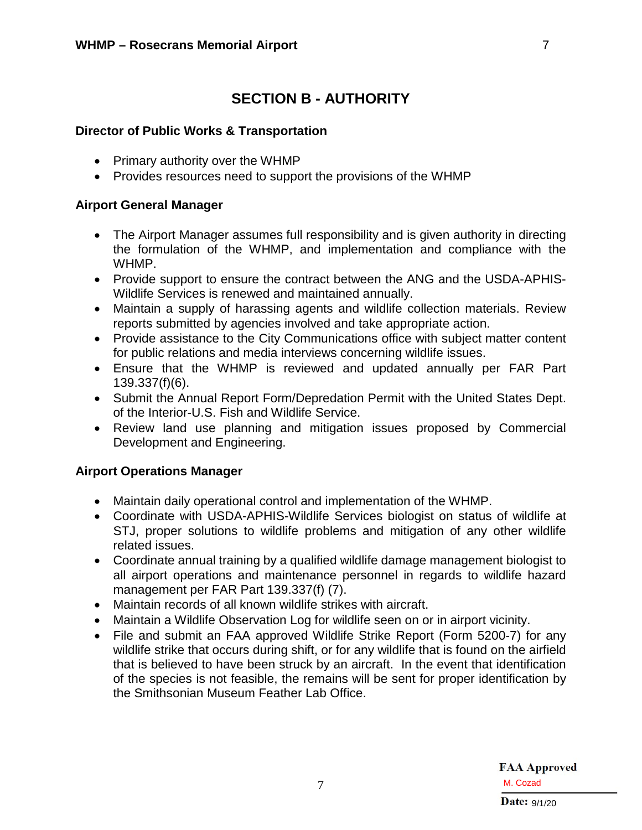# **SECTION B - AUTHORITY**

## <span id="page-7-1"></span><span id="page-7-0"></span>**Director of Public Works & Transportation**

- Primary authority over the WHMP
- Provides resources need to support the provisions of the WHMP

## <span id="page-7-2"></span>**Airport General Manager**

- The Airport Manager assumes full responsibility and is given authority in directing the formulation of the WHMP, and implementation and compliance with the WHMP.
- Provide support to ensure the contract between the ANG and the USDA-APHIS-Wildlife Services is renewed and maintained annually.
- Maintain a supply of harassing agents and wildlife collection materials. Review reports submitted by agencies involved and take appropriate action.
- Provide assistance to the City Communications office with subject matter content for public relations and media interviews concerning wildlife issues.
- Ensure that the WHMP is reviewed and updated annually per FAR Part 139.337(f)(6).
- Submit the Annual Report Form/Depredation Permit with the United States Dept. of the Interior-U.S. Fish and Wildlife Service.
- Review land use planning and mitigation issues proposed by Commercial Development and Engineering.

# <span id="page-7-3"></span>**Airport Operations Manager**

- Maintain daily operational control and implementation of the WHMP.
- Coordinate with USDA-APHIS-Wildlife Services biologist on status of wildlife at STJ, proper solutions to wildlife problems and mitigation of any other wildlife related issues.
- Coordinate annual training by a qualified wildlife damage management biologist to all airport operations and maintenance personnel in regards to wildlife hazard management per FAR Part 139.337(f) (7).
- Maintain records of all known wildlife strikes with aircraft.
- Maintain a Wildlife Observation Log for wildlife seen on or in airport vicinity.
- File and submit an FAA approved Wildlife Strike Report (Form 5200-7) for any wildlife strike that occurs during shift, or for any wildlife that is found on the airfield that is believed to have been struck by an aircraft. In the event that identification of the species is not feasible, the remains will be sent for proper identification by the Smithsonian Museum Feather Lab Office.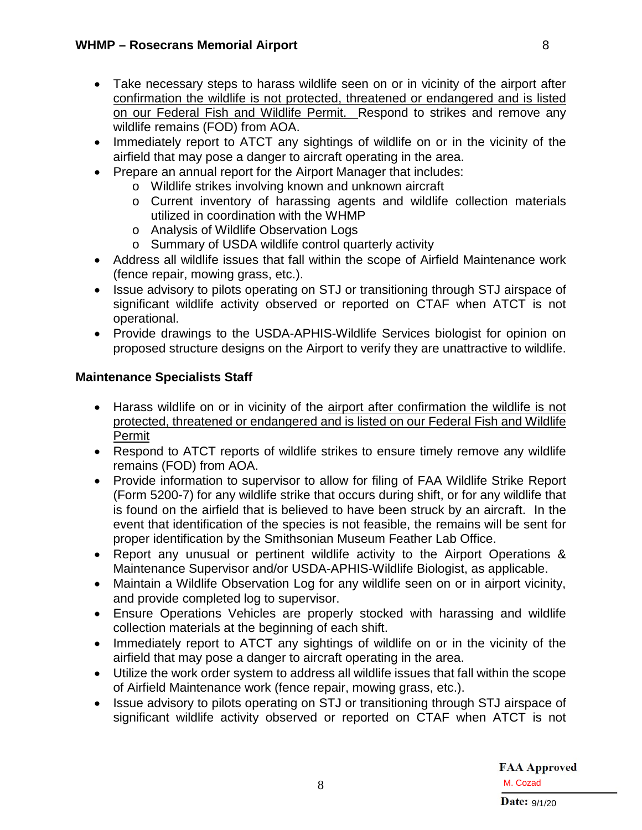- Take necessary steps to harass wildlife seen on or in vicinity of the airport after confirmation the wildlife is not protected, threatened or endangered and is listed on our Federal Fish and Wildlife Permit. Respond to strikes and remove any wildlife remains (FOD) from AOA.
- Immediately report to ATCT any sightings of wildlife on or in the vicinity of the airfield that may pose a danger to aircraft operating in the area.
- Prepare an annual report for the Airport Manager that includes:
	- o Wildlife strikes involving known and unknown aircraft
	- o Current inventory of harassing agents and wildlife collection materials utilized in coordination with the WHMP
	- o Analysis of Wildlife Observation Logs
	- o Summary of USDA wildlife control quarterly activity
- Address all wildlife issues that fall within the scope of Airfield Maintenance work (fence repair, mowing grass, etc.).
- Issue advisory to pilots operating on STJ or transitioning through STJ airspace of significant wildlife activity observed or reported on CTAF when ATCT is not operational.
- Provide drawings to the USDA-APHIS-Wildlife Services biologist for opinion on proposed structure designs on the Airport to verify they are unattractive to wildlife.

# <span id="page-8-0"></span>**Maintenance Specialists Staff**

- Harass wildlife on or in vicinity of the airport after confirmation the wildlife is not protected, threatened or endangered and is listed on our Federal Fish and Wildlife Permit
- Respond to ATCT reports of wildlife strikes to ensure timely remove any wildlife remains (FOD) from AOA.
- Provide information to supervisor to allow for filing of FAA Wildlife Strike Report (Form 5200-7) for any wildlife strike that occurs during shift, or for any wildlife that is found on the airfield that is believed to have been struck by an aircraft. In the event that identification of the species is not feasible, the remains will be sent for proper identification by the Smithsonian Museum Feather Lab Office.
- Report any unusual or pertinent wildlife activity to the Airport Operations & Maintenance Supervisor and/or USDA-APHIS-Wildlife Biologist, as applicable.
- Maintain a Wildlife Observation Log for any wildlife seen on or in airport vicinity, and provide completed log to supervisor.
- Ensure Operations Vehicles are properly stocked with harassing and wildlife collection materials at the beginning of each shift.
- Immediately report to ATCT any sightings of wildlife on or in the vicinity of the airfield that may pose a danger to aircraft operating in the area.
- Utilize the work order system to address all wildlife issues that fall within the scope of Airfield Maintenance work (fence repair, mowing grass, etc.).
- Issue advisory to pilots operating on STJ or transitioning through STJ airspace of significant wildlife activity observed or reported on CTAF when ATCT is not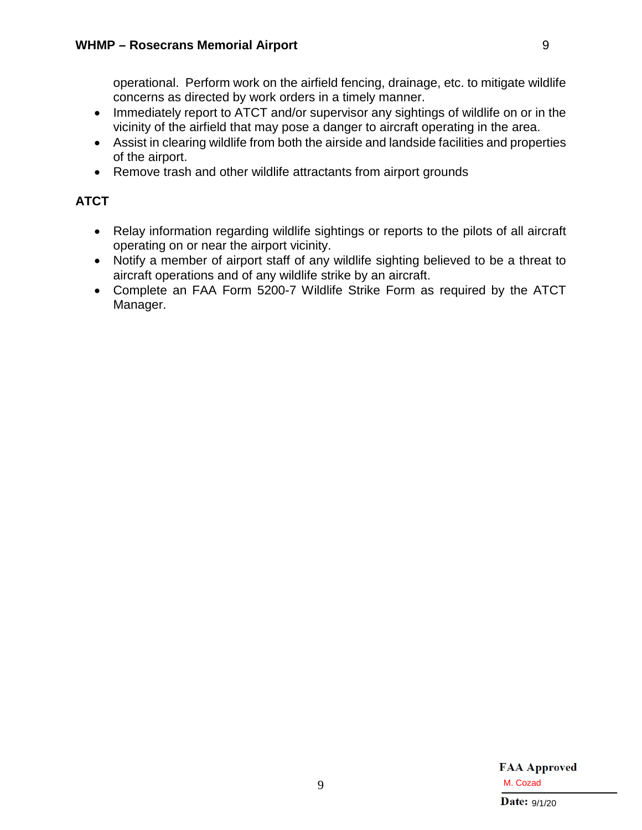operational. Perform work on the airfield fencing, drainage, etc. to mitigate wildlife concerns as directed by work orders in a timely manner.

- Immediately report to ATCT and/or supervisor any sightings of wildlife on or in the vicinity of the airfield that may pose a danger to aircraft operating in the area.
- Assist in clearing wildlife from both the airside and landside facilities and properties of the airport.
- Remove trash and other wildlife attractants from airport grounds

# <span id="page-9-0"></span>**ATCT**

- Relay information regarding wildlife sightings or reports to the pilots of all aircraft operating on or near the airport vicinity.
- Notify a member of airport staff of any wildlife sighting believed to be a threat to aircraft operations and of any wildlife strike by an aircraft.
- Complete an FAA Form 5200-7 Wildlife Strike Form as required by the ATCT Manager.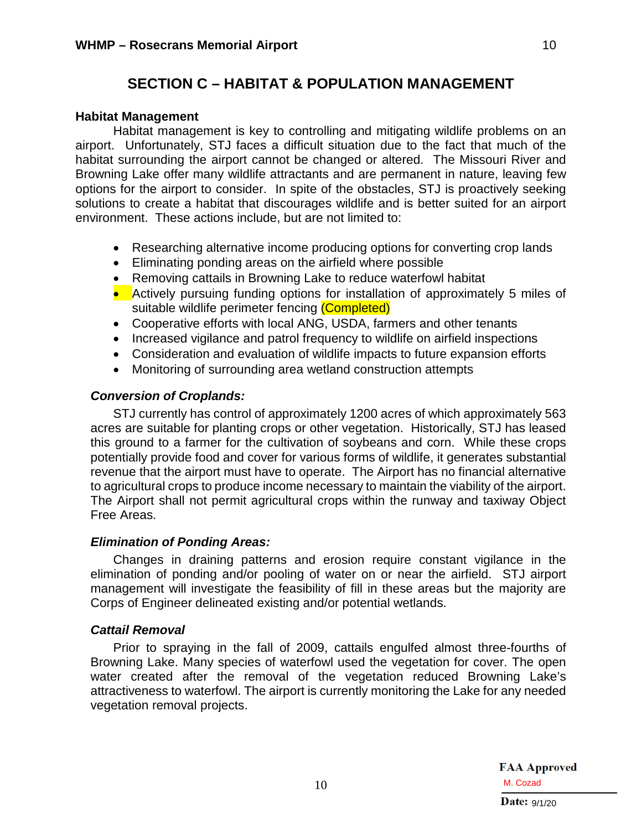# **SECTION C – HABITAT & POPULATION MANAGEMENT**

#### <span id="page-10-1"></span><span id="page-10-0"></span>**Habitat Management**

Habitat management is key to controlling and mitigating wildlife problems on an airport. Unfortunately, STJ faces a difficult situation due to the fact that much of the habitat surrounding the airport cannot be changed or altered. The Missouri River and Browning Lake offer many wildlife attractants and are permanent in nature, leaving few options for the airport to consider. In spite of the obstacles, STJ is proactively seeking solutions to create a habitat that discourages wildlife and is better suited for an airport environment. These actions include, but are not limited to:

- Researching alternative income producing options for converting crop lands
- Eliminating ponding areas on the airfield where possible
- Removing cattails in Browning Lake to reduce waterfowl habitat
- Actively pursuing funding options for installation of approximately 5 miles of suitable wildlife perimeter fencing (Completed)
- Cooperative efforts with local ANG, USDA, farmers and other tenants
- Increased vigilance and patrol frequency to wildlife on airfield inspections
- Consideration and evaluation of wildlife impacts to future expansion efforts
- Monitoring of surrounding area wetland construction attempts

## <span id="page-10-2"></span>*Conversion of Croplands:*

STJ currently has control of approximately 1200 acres of which approximately 563 acres are suitable for planting crops or other vegetation. Historically, STJ has leased this ground to a farmer for the cultivation of soybeans and corn. While these crops potentially provide food and cover for various forms of wildlife, it generates substantial revenue that the airport must have to operate. The Airport has no financial alternative to agricultural crops to produce income necessary to maintain the viability of the airport. The Airport shall not permit agricultural crops within the runway and taxiway Object Free Areas.

## <span id="page-10-3"></span>*Elimination of Ponding Areas:*

Changes in draining patterns and erosion require constant vigilance in the elimination of ponding and/or pooling of water on or near the airfield. STJ airport management will investigate the feasibility of fill in these areas but the majority are Corps of Engineer delineated existing and/or potential wetlands.

# <span id="page-10-4"></span>*Cattail Removal*

Prior to spraying in the fall of 2009, cattails engulfed almost three-fourths of Browning Lake. Many species of waterfowl used the vegetation for cover. The open water created after the removal of the vegetation reduced Browning Lake's attractiveness to waterfowl. The airport is currently monitoring the Lake for any needed vegetation removal projects.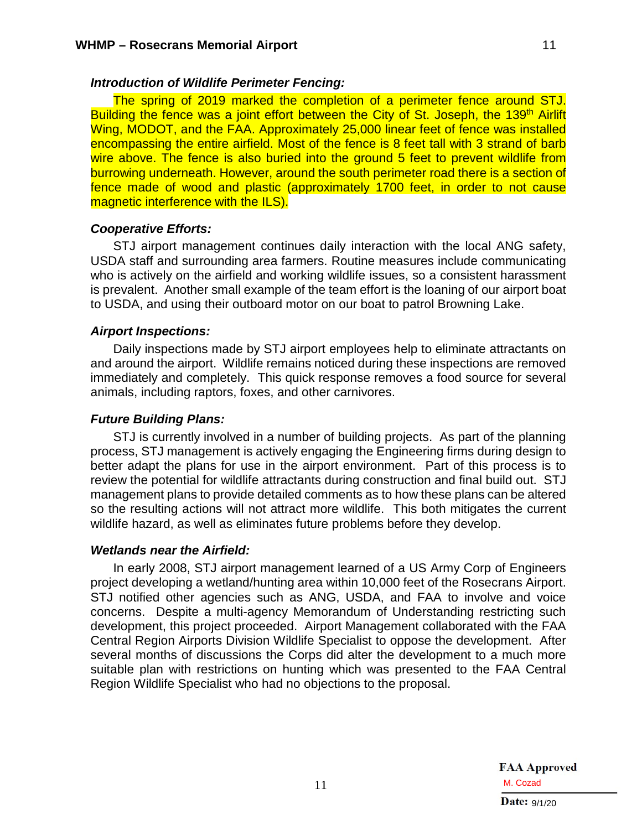<span id="page-11-0"></span>The spring of 2019 marked the completion of a perimeter fence around STJ. Building the fence was a joint effort between the City of St. Joseph, the 139<sup>th</sup> Airlift Wing, MODOT, and the FAA. Approximately 25,000 linear feet of fence was installed encompassing the entire airfield. Most of the fence is 8 feet tall with 3 strand of barb wire above. The fence is also buried into the ground 5 feet to prevent wildlife from burrowing underneath. However, around the south perimeter road there is a section of fence made of wood and plastic (approximately 1700 feet, in order to not cause magnetic interference with the ILS).

#### <span id="page-11-1"></span>*Cooperative Efforts:*

STJ airport management continues daily interaction with the local ANG safety, USDA staff and surrounding area farmers. Routine measures include communicating who is actively on the airfield and working wildlife issues, so a consistent harassment is prevalent. Another small example of the team effort is the loaning of our airport boat to USDA, and using their outboard motor on our boat to patrol Browning Lake.

#### <span id="page-11-2"></span>*Airport Inspections:*

Daily inspections made by STJ airport employees help to eliminate attractants on and around the airport. Wildlife remains noticed during these inspections are removed immediately and completely. This quick response removes a food source for several animals, including raptors, foxes, and other carnivores.

#### <span id="page-11-3"></span>*Future Building Plans:*

STJ is currently involved in a number of building projects. As part of the planning process, STJ management is actively engaging the Engineering firms during design to better adapt the plans for use in the airport environment. Part of this process is to review the potential for wildlife attractants during construction and final build out. STJ management plans to provide detailed comments as to how these plans can be altered so the resulting actions will not attract more wildlife. This both mitigates the current wildlife hazard, as well as eliminates future problems before they develop.

#### <span id="page-11-4"></span>*Wetlands near the Airfield:*

<span id="page-11-5"></span>In early 2008, STJ airport management learned of a US Army Corp of Engineers project developing a wetland/hunting area within 10,000 feet of the Rosecrans Airport. STJ notified other agencies such as ANG, USDA, and FAA to involve and voice concerns. Despite a multi-agency Memorandum of Understanding restricting such development, this project proceeded. Airport Management collaborated with the FAA Central Region Airports Division Wildlife Specialist to oppose the development. After several months of discussions the Corps did alter the development to a much more suitable plan with restrictions on hunting which was presented to the FAA Central Region Wildlife Specialist who had no objections to the proposal.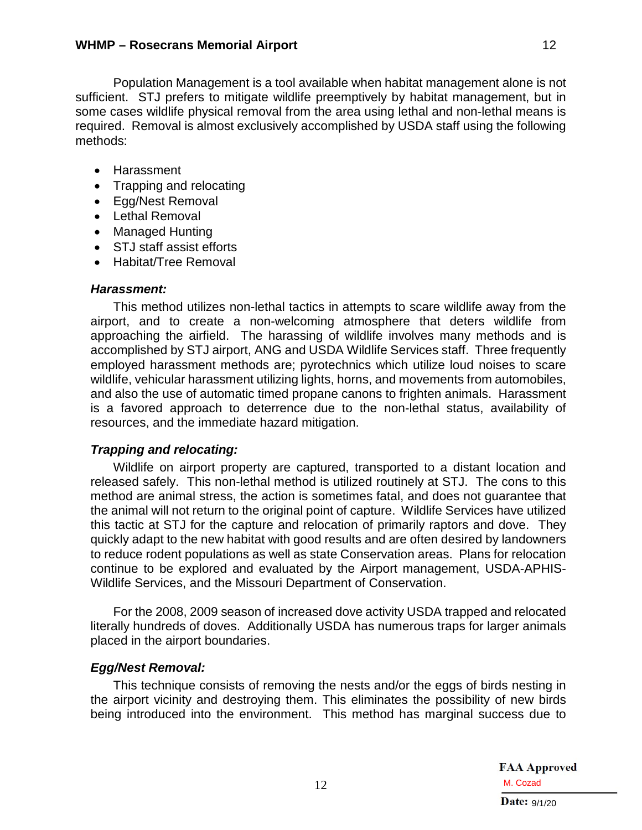Population Management is a tool available when habitat management alone is not sufficient. STJ prefers to mitigate wildlife preemptively by habitat management, but in some cases wildlife physical removal from the area using lethal and non-lethal means is required. Removal is almost exclusively accomplished by USDA staff using the following methods:

- Harassment
- Trapping and relocating
- Egg/Nest Removal
- Lethal Removal
- Managed Hunting
- STJ staff assist efforts
- Habitat/Tree Removal

# <span id="page-12-0"></span>*Harassment:*

This method utilizes non-lethal tactics in attempts to scare wildlife away from the airport, and to create a non-welcoming atmosphere that deters wildlife from approaching the airfield. The harassing of wildlife involves many methods and is accomplished by STJ airport, ANG and USDA Wildlife Services staff. Three frequently employed harassment methods are; pyrotechnics which utilize loud noises to scare wildlife, vehicular harassment utilizing lights, horns, and movements from automobiles, and also the use of automatic timed propane canons to frighten animals. Harassment is a favored approach to deterrence due to the non-lethal status, availability of resources, and the immediate hazard mitigation.

# <span id="page-12-1"></span>*Trapping and relocating:*

Wildlife on airport property are captured, transported to a distant location and released safely. This non-lethal method is utilized routinely at STJ. The cons to this method are animal stress, the action is sometimes fatal, and does not guarantee that the animal will not return to the original point of capture. Wildlife Services have utilized this tactic at STJ for the capture and relocation of primarily raptors and dove. They quickly adapt to the new habitat with good results and are often desired by landowners to reduce rodent populations as well as state Conservation areas. Plans for relocation continue to be explored and evaluated by the Airport management, USDA-APHIS-Wildlife Services, and the Missouri Department of Conservation.

For the 2008, 2009 season of increased dove activity USDA trapped and relocated literally hundreds of doves. Additionally USDA has numerous traps for larger animals placed in the airport boundaries.

# <span id="page-12-2"></span>*Egg/Nest Removal:*

This technique consists of removing the nests and/or the eggs of birds nesting in the airport vicinity and destroying them. This eliminates the possibility of new birds being introduced into the environment. This method has marginal success due to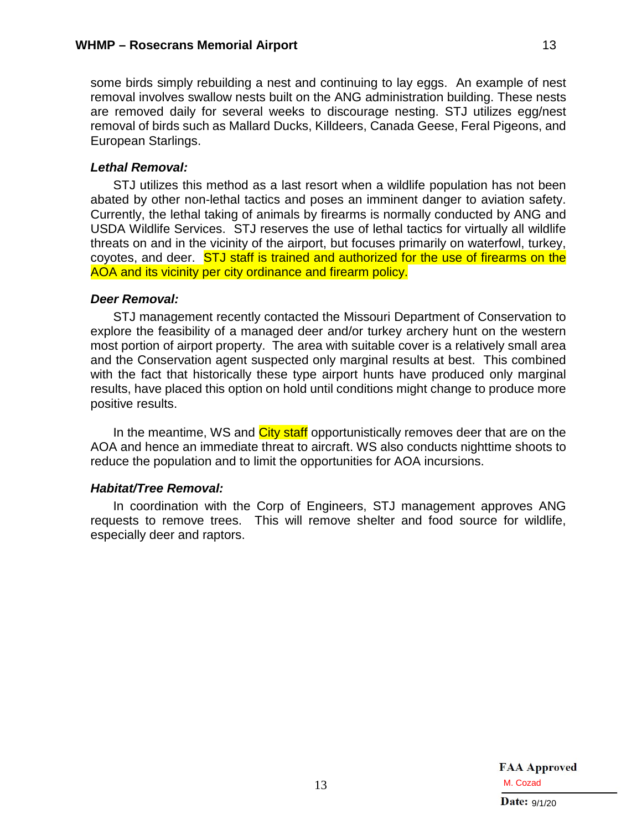some birds simply rebuilding a nest and continuing to lay eggs. An example of nest removal involves swallow nests built on the ANG administration building. These nests are removed daily for several weeks to discourage nesting. STJ utilizes egg/nest removal of birds such as Mallard Ducks, Killdeers, Canada Geese, Feral Pigeons, and European Starlings.

#### <span id="page-13-0"></span>*Lethal Removal:*

STJ utilizes this method as a last resort when a wildlife population has not been abated by other non-lethal tactics and poses an imminent danger to aviation safety. Currently, the lethal taking of animals by firearms is normally conducted by ANG and USDA Wildlife Services. STJ reserves the use of lethal tactics for virtually all wildlife threats on and in the vicinity of the airport, but focuses primarily on waterfowl, turkey, coyotes, and deer. STJ staff is trained and authorized for the use of firearms on the AOA and its vicinity per city ordinance and firearm policy.

#### <span id="page-13-1"></span>*Deer Removal:*

STJ management recently contacted the Missouri Department of Conservation to explore the feasibility of a managed deer and/or turkey archery hunt on the western most portion of airport property. The area with suitable cover is a relatively small area and the Conservation agent suspected only marginal results at best. This combined with the fact that historically these type airport hunts have produced only marginal results, have placed this option on hold until conditions might change to produce more positive results.

In the meantime, WS and City staff opportunistically removes deer that are on the AOA and hence an immediate threat to aircraft. WS also conducts nighttime shoots to reduce the population and to limit the opportunities for AOA incursions.

## <span id="page-13-2"></span>*Habitat/Tree Removal:*

In coordination with the Corp of Engineers, STJ management approves ANG requests to remove trees. This will remove shelter and food source for wildlife, especially deer and raptors.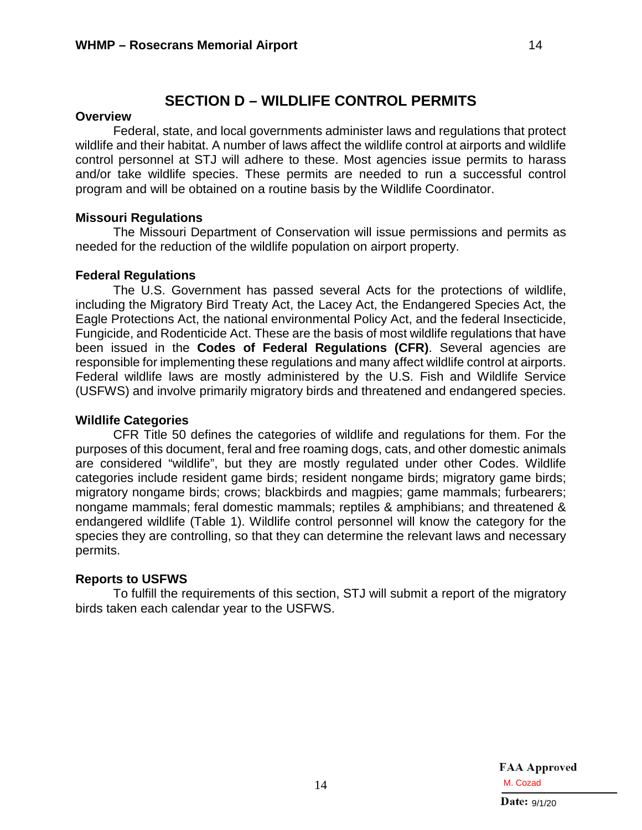# **SECTION D – WILDLIFE CONTROL PERMITS**

#### <span id="page-14-1"></span><span id="page-14-0"></span>**Overview**

Federal, state, and local governments administer laws and regulations that protect wildlife and their habitat. A number of laws affect the wildlife control at airports and wildlife control personnel at STJ will adhere to these. Most agencies issue permits to harass and/or take wildlife species. These permits are needed to run a successful control program and will be obtained on a routine basis by the Wildlife Coordinator.

## <span id="page-14-2"></span>**Missouri Regulations**

The Missouri Department of Conservation will issue permissions and permits as needed for the reduction of the wildlife population on airport property.

## <span id="page-14-3"></span>**Federal Regulations**

The U.S. Government has passed several Acts for the protections of wildlife, including the Migratory Bird Treaty Act, the Lacey Act, the Endangered Species Act, the Eagle Protections Act, the national environmental Policy Act, and the federal Insecticide, Fungicide, and Rodenticide Act. These are the basis of most wildlife regulations that have been issued in the **Codes of Federal Regulations (CFR)**. Several agencies are responsible for implementing these regulations and many affect wildlife control at airports. Federal wildlife laws are mostly administered by the U.S. Fish and Wildlife Service (USFWS) and involve primarily migratory birds and threatened and endangered species.

## <span id="page-14-4"></span>**Wildlife Categories**

CFR Title 50 defines the categories of wildlife and regulations for them. For the purposes of this document, feral and free roaming dogs, cats, and other domestic animals are considered "wildlife", but they are mostly regulated under other Codes. Wildlife categories include resident game birds; resident nongame birds; migratory game birds; migratory nongame birds; crows; blackbirds and magpies; game mammals; furbearers; nongame mammals; feral domestic mammals; reptiles & amphibians; and threatened & endangered wildlife (Table 1). Wildlife control personnel will know the category for the species they are controlling, so that they can determine the relevant laws and necessary permits.

## <span id="page-14-5"></span>**Reports to USFWS**

To fulfill the requirements of this section, STJ will submit a report of the migratory birds taken each calendar year to the USFWS.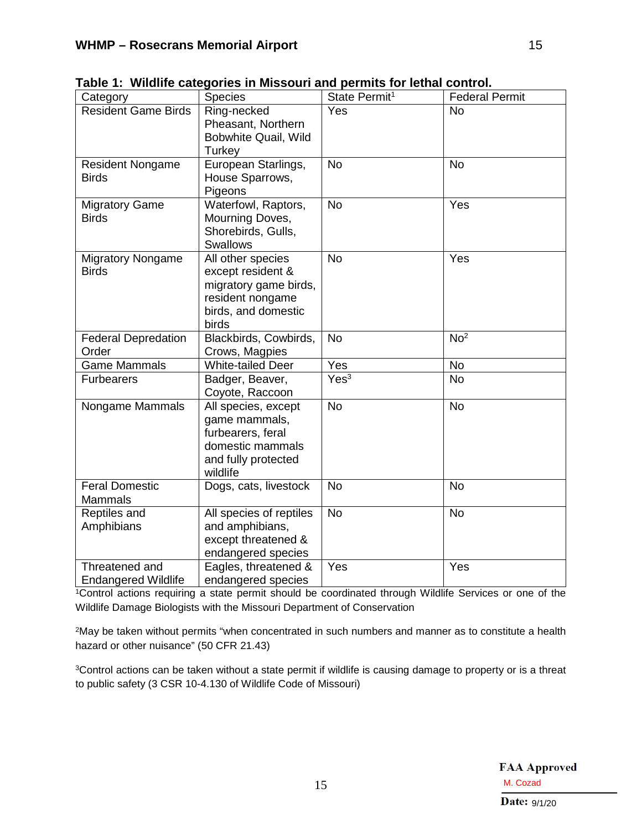| Category                                     | <b>Species</b>                                                                                                      | State Permit <sup>1</sup> | <b>Federal Permit</b> |
|----------------------------------------------|---------------------------------------------------------------------------------------------------------------------|---------------------------|-----------------------|
| <b>Resident Game Birds</b>                   | Ring-necked<br>Pheasant, Northern<br>Bobwhite Quail, Wild<br>Turkey                                                 | Yes                       | <b>No</b>             |
| <b>Resident Nongame</b><br><b>Birds</b>      | European Starlings,<br>House Sparrows,<br>Pigeons                                                                   | <b>No</b>                 | <b>No</b>             |
| <b>Migratory Game</b><br><b>Birds</b>        | Waterfowl, Raptors,<br>Mourning Doves,<br>Shorebirds, Gulls,<br>Swallows                                            | <b>No</b>                 | Yes                   |
| <b>Migratory Nongame</b><br><b>Birds</b>     | All other species<br>except resident &<br>migratory game birds,<br>resident nongame<br>birds, and domestic<br>birds | <b>No</b>                 | Yes                   |
| <b>Federal Depredation</b><br>Order          | Blackbirds, Cowbirds,<br>Crows, Magpies                                                                             | <b>No</b>                 | No <sup>2</sup>       |
| <b>Game Mammals</b>                          | <b>White-tailed Deer</b>                                                                                            | Yes                       | <b>No</b>             |
| <b>Furbearers</b>                            | Badger, Beaver,<br>Coyote, Raccoon                                                                                  | Yes <sup>3</sup>          | <b>No</b>             |
| Nongame Mammals                              | All species, except<br>game mammals,<br>furbearers, feral<br>domestic mammals<br>and fully protected<br>wildlife    | <b>No</b>                 | <b>No</b>             |
| <b>Feral Domestic</b><br><b>Mammals</b>      | Dogs, cats, livestock                                                                                               | $\overline{N}$            | <b>No</b>             |
| Reptiles and<br>Amphibians                   | All species of reptiles<br>and amphibians,<br>except threatened &<br>endangered species                             | <b>No</b>                 | <b>No</b>             |
| Threatened and<br><b>Endangered Wildlife</b> | Eagles, threatened &<br>endangered species                                                                          | Yes                       | Yes                   |

<span id="page-15-0"></span>**Table 1: Wildlife categories in Missouri and permits for lethal control.**

1Control actions requiring a state permit should be coordinated through Wildlife Services or one of the Wildlife Damage Biologists with the Missouri Department of Conservation

2May be taken without permits "when concentrated in such numbers and manner as to constitute a health hazard or other nuisance" (50 CFR 21.43)

<sup>3</sup>Control actions can be taken without a state permit if wildlife is causing damage to property or is a threat to public safety (3 CSR 10-4.130 of Wildlife Code of Missouri)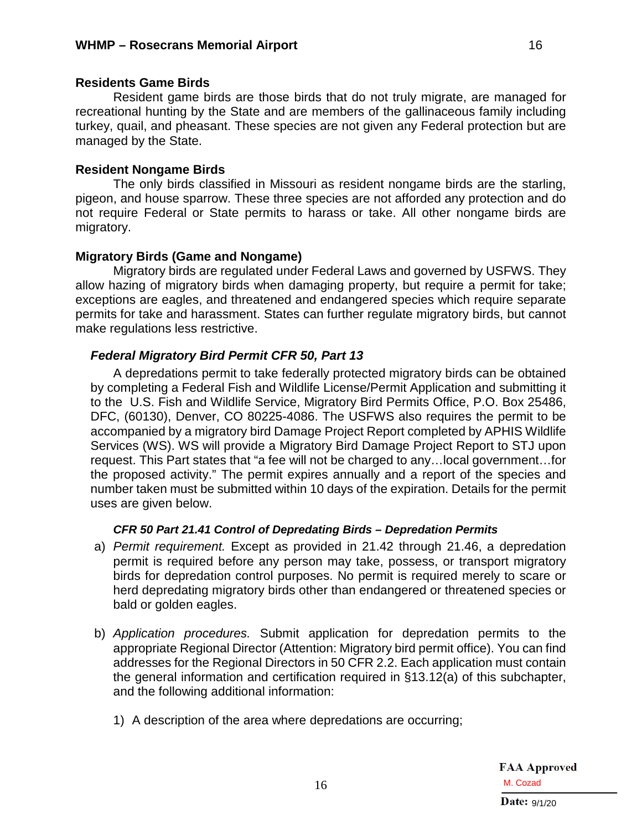## <span id="page-16-0"></span>**Residents Game Birds**

Resident game birds are those birds that do not truly migrate, are managed for recreational hunting by the State and are members of the gallinaceous family including turkey, quail, and pheasant. These species are not given any Federal protection but are managed by the State.

## <span id="page-16-1"></span>**Resident Nongame Birds**

The only birds classified in Missouri as resident nongame birds are the starling, pigeon, and house sparrow. These three species are not afforded any protection and do not require Federal or State permits to harass or take. All other nongame birds are migratory.

# <span id="page-16-2"></span>**Migratory Birds (Game and Nongame)**

Migratory birds are regulated under Federal Laws and governed by USFWS. They allow hazing of migratory birds when damaging property, but require a permit for take; exceptions are eagles, and threatened and endangered species which require separate permits for take and harassment. States can further regulate migratory birds, but cannot make regulations less restrictive.

# <span id="page-16-3"></span>*Federal Migratory Bird Permit CFR 50, Part 13*

A depredations permit to take federally protected migratory birds can be obtained by completing a Federal Fish and Wildlife License/Permit Application and submitting it to the U.S. Fish and Wildlife Service, Migratory Bird Permits Office, P.O. Box 25486, DFC, (60130), Denver, CO 80225-4086. The USFWS also requires the permit to be accompanied by a migratory bird Damage Project Report completed by APHIS Wildlife Services (WS). WS will provide a Migratory Bird Damage Project Report to STJ upon request. This Part states that "a fee will not be charged to any…local government…for the proposed activity." The permit expires annually and a report of the species and number taken must be submitted within 10 days of the expiration. Details for the permit uses are given below.

## *CFR 50 Part 21.41 Control of Depredating Birds – Depredation Permits*

- a) *Permit requirement.* Except as provided in 21.42 through 21.46, a depredation permit is required before any person may take, possess, or transport migratory birds for depredation control purposes. No permit is required merely to scare or herd depredating migratory birds other than endangered or threatened species or bald or golden eagles.
- b) *Application procedures.* Submit application for depredation permits to the appropriate Regional Director (Attention: Migratory bird permit office). You can find addresses for the Regional Directors in 50 CFR 2.2. Each application must contain the general information and certification required in §13.12(a) of this subchapter, and the following additional information:
	- 1) A description of the area where depredations are occurring;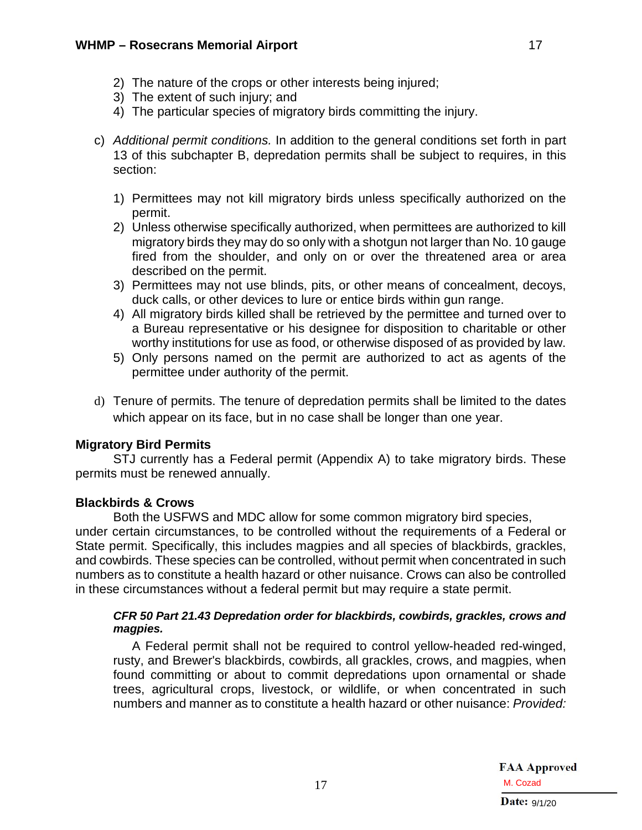- 2) The nature of the crops or other interests being injured;
- 3) The extent of such injury; and
- 4) The particular species of migratory birds committing the injury.
- c) *Additional permit conditions.* In addition to the general conditions set forth in part 13 of this subchapter B, depredation permits shall be subject to requires, in this section:
	- 1) Permittees may not kill migratory birds unless specifically authorized on the permit.
	- 2) Unless otherwise specifically authorized, when permittees are authorized to kill migratory birds they may do so only with a shotgun not larger than No. 10 gauge fired from the shoulder, and only on or over the threatened area or area described on the permit.
	- 3) Permittees may not use blinds, pits, or other means of concealment, decoys, duck calls, or other devices to lure or entice birds within gun range.
	- 4) All migratory birds killed shall be retrieved by the permittee and turned over to a Bureau representative or his designee for disposition to charitable or other worthy institutions for use as food, or otherwise disposed of as provided by law.
	- 5) Only persons named on the permit are authorized to act as agents of the permittee under authority of the permit.
- d) Tenure of permits. The tenure of depredation permits shall be limited to the dates which appear on its face, but in no case shall be longer than one year.

# <span id="page-17-0"></span>**Migratory Bird Permits**

STJ currently has a Federal permit (Appendix A) to take migratory birds. These permits must be renewed annually.

# <span id="page-17-1"></span>**Blackbirds & Crows**

Both the USFWS and MDC allow for some common migratory bird species, under certain circumstances, to be controlled without the requirements of a Federal or State permit. Specifically, this includes magpies and all species of blackbirds, grackles, and cowbirds. These species can be controlled, without permit when concentrated in such numbers as to constitute a health hazard or other nuisance. Crows can also be controlled in these circumstances without a federal permit but may require a state permit.

## *CFR 50 Part 21.43 Depredation order for blackbirds, cowbirds, grackles, crows and magpies.*

A Federal permit shall not be required to control yellow-headed red-winged, rusty, and Brewer's blackbirds, cowbirds, all grackles, crows, and magpies, when found committing or about to commit depredations upon ornamental or shade trees, agricultural crops, livestock, or wildlife, or when concentrated in such numbers and manner as to constitute a health hazard or other nuisance: *Provided:*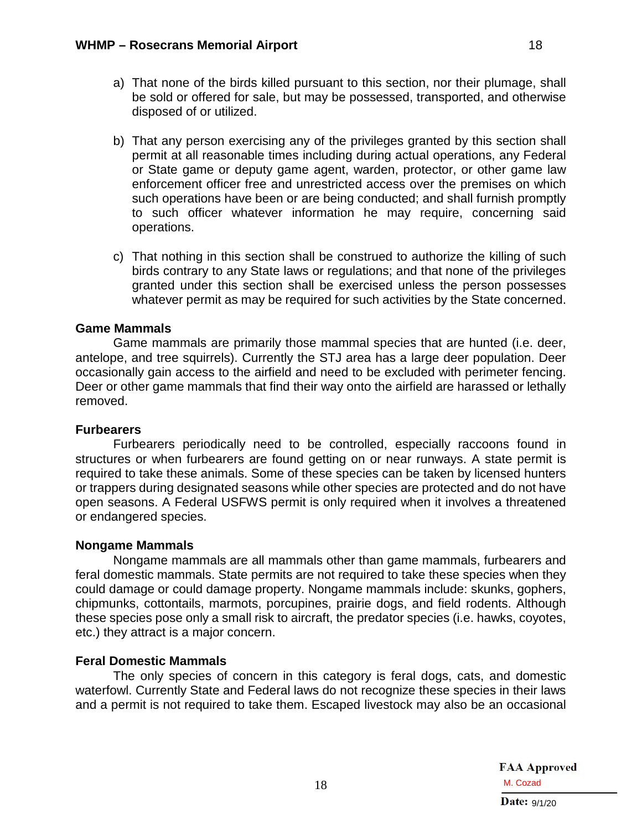- a) That none of the birds killed pursuant to this section, nor their plumage, shall be sold or offered for sale, but may be possessed, transported, and otherwise disposed of or utilized.
- b) That any person exercising any of the privileges granted by this section shall permit at all reasonable times including during actual operations, any Federal or State game or deputy game agent, warden, protector, or other game law enforcement officer free and unrestricted access over the premises on which such operations have been or are being conducted; and shall furnish promptly to such officer whatever information he may require, concerning said operations.
- c) That nothing in this section shall be construed to authorize the killing of such birds contrary to any State laws or regulations; and that none of the privileges granted under this section shall be exercised unless the person possesses whatever permit as may be required for such activities by the State concerned.

# <span id="page-18-0"></span>**Game Mammals**

Game mammals are primarily those mammal species that are hunted (i.e. deer, antelope, and tree squirrels). Currently the STJ area has a large deer population. Deer occasionally gain access to the airfield and need to be excluded with perimeter fencing. Deer or other game mammals that find their way onto the airfield are harassed or lethally removed.

# <span id="page-18-1"></span>**Furbearers**

Furbearers periodically need to be controlled, especially raccoons found in structures or when furbearers are found getting on or near runways. A state permit is required to take these animals. Some of these species can be taken by licensed hunters or trappers during designated seasons while other species are protected and do not have open seasons. A Federal USFWS permit is only required when it involves a threatened or endangered species.

# <span id="page-18-2"></span>**Nongame Mammals**

Nongame mammals are all mammals other than game mammals, furbearers and feral domestic mammals. State permits are not required to take these species when they could damage or could damage property. Nongame mammals include: skunks, gophers, chipmunks, cottontails, marmots, porcupines, prairie dogs, and field rodents. Although these species pose only a small risk to aircraft, the predator species (i.e. hawks, coyotes, etc.) they attract is a major concern.

# <span id="page-18-3"></span>**Feral Domestic Mammals**

The only species of concern in this category is feral dogs, cats, and domestic waterfowl. Currently State and Federal laws do not recognize these species in their laws and a permit is not required to take them. Escaped livestock may also be an occasional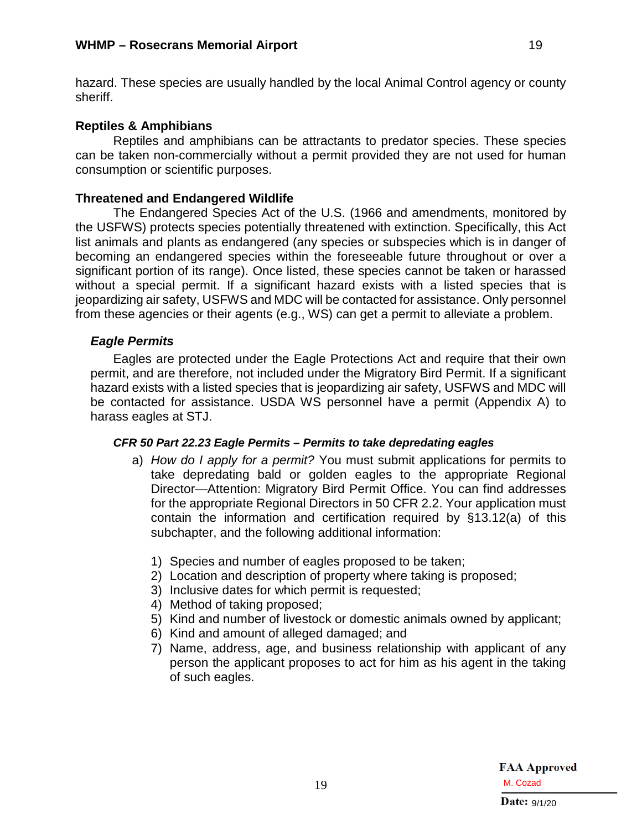hazard. These species are usually handled by the local Animal Control agency or county sheriff.

# <span id="page-19-0"></span>**Reptiles & Amphibians**

Reptiles and amphibians can be attractants to predator species. These species can be taken non-commercially without a permit provided they are not used for human consumption or scientific purposes.

## <span id="page-19-1"></span>**Threatened and Endangered Wildlife**

The Endangered Species Act of the U.S. (1966 and amendments, monitored by the USFWS) protects species potentially threatened with extinction. Specifically, this Act list animals and plants as endangered (any species or subspecies which is in danger of becoming an endangered species within the foreseeable future throughout or over a significant portion of its range). Once listed, these species cannot be taken or harassed without a special permit. If a significant hazard exists with a listed species that is jeopardizing air safety, USFWS and MDC will be contacted for assistance. Only personnel from these agencies or their agents (e.g., WS) can get a permit to alleviate a problem.

## <span id="page-19-2"></span>*Eagle Permits*

Eagles are protected under the Eagle Protections Act and require that their own permit, and are therefore, not included under the Migratory Bird Permit. If a significant hazard exists with a listed species that is jeopardizing air safety, USFWS and MDC will be contacted for assistance. USDA WS personnel have a permit (Appendix A) to harass eagles at STJ.

## *CFR 50 Part 22.23 Eagle Permits – Permits to take depredating eagles*

- a) *How do I apply for a permit?* You must submit applications for permits to take depredating bald or golden eagles to the appropriate Regional Director—Attention: Migratory Bird Permit Office. You can find addresses for the appropriate Regional Directors in 50 CFR 2.2. Your application must contain the information and certification required by §13.12(a) of this subchapter, and the following additional information:
	- 1) Species and number of eagles proposed to be taken;
	- 2) Location and description of property where taking is proposed;
	- 3) Inclusive dates for which permit is requested;
	- 4) Method of taking proposed;
	- 5) Kind and number of livestock or domestic animals owned by applicant;
	- 6) Kind and amount of alleged damaged; and
	- 7) Name, address, age, and business relationship with applicant of any person the applicant proposes to act for him as his agent in the taking of such eagles.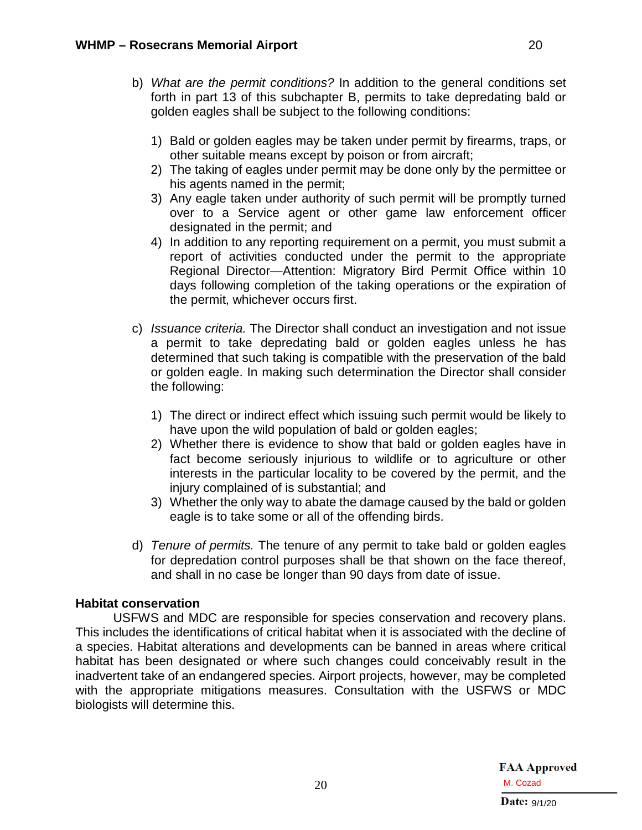- b) *What are the permit conditions?* In addition to the general conditions set forth in part 13 of this subchapter B, permits to take depredating bald or golden eagles shall be subject to the following conditions:
	- 1) Bald or golden eagles may be taken under permit by firearms, traps, or other suitable means except by poison or from aircraft;
	- 2) The taking of eagles under permit may be done only by the permittee or his agents named in the permit;
	- 3) Any eagle taken under authority of such permit will be promptly turned over to a Service agent or other game law enforcement officer designated in the permit; and
	- 4) In addition to any reporting requirement on a permit, you must submit a report of activities conducted under the permit to the appropriate Regional Director—Attention: Migratory Bird Permit Office within 10 days following completion of the taking operations or the expiration of the permit, whichever occurs first.
- c) *Issuance criteria.* The Director shall conduct an investigation and not issue a permit to take depredating bald or golden eagles unless he has determined that such taking is compatible with the preservation of the bald or golden eagle. In making such determination the Director shall consider the following:
	- 1) The direct or indirect effect which issuing such permit would be likely to have upon the wild population of bald or golden eagles;
	- 2) Whether there is evidence to show that bald or golden eagles have in fact become seriously injurious to wildlife or to agriculture or other interests in the particular locality to be covered by the permit, and the injury complained of is substantial; and
	- 3) Whether the only way to abate the damage caused by the bald or golden eagle is to take some or all of the offending birds.
- d) *Tenure of permits.* The tenure of any permit to take bald or golden eagles for depredation control purposes shall be that shown on the face thereof, and shall in no case be longer than 90 days from date of issue.

# <span id="page-20-0"></span>**Habitat conservation**

USFWS and MDC are responsible for species conservation and recovery plans. This includes the identifications of critical habitat when it is associated with the decline of a species. Habitat alterations and developments can be banned in areas where critical habitat has been designated or where such changes could conceivably result in the inadvertent take of an endangered species. Airport projects, however, may be completed with the appropriate mitigations measures. Consultation with the USFWS or MDC biologists will determine this.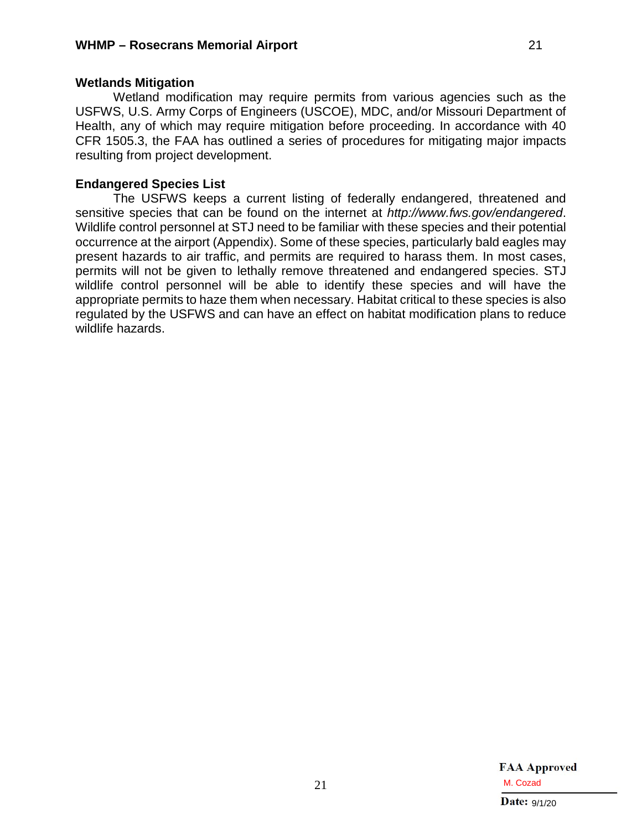<span id="page-21-0"></span>Wetland modification may require permits from various agencies such as the USFWS, U.S. Army Corps of Engineers (USCOE), MDC, and/or Missouri Department of Health, any of which may require mitigation before proceeding. In accordance with 40 CFR 1505.3, the FAA has outlined a series of procedures for mitigating major impacts resulting from project development.

# <span id="page-21-1"></span>**Endangered Species List**

The USFWS keeps a current listing of federally endangered, threatened and sensitive species that can be found on the internet at *http://www.fws.gov/endangered*. Wildlife control personnel at STJ need to be familiar with these species and their potential occurrence at the airport (Appendix). Some of these species, particularly bald eagles may present hazards to air traffic, and permits are required to harass them. In most cases, permits will not be given to lethally remove threatened and endangered species. STJ wildlife control personnel will be able to identify these species and will have the appropriate permits to haze them when necessary. Habitat critical to these species is also regulated by the USFWS and can have an effect on habitat modification plans to reduce wildlife hazards.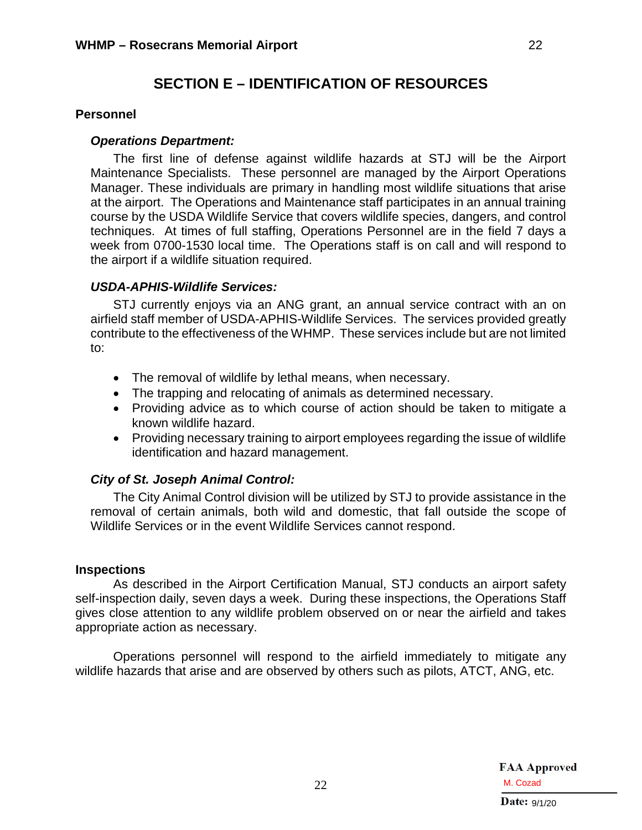# **SECTION E – IDENTIFICATION OF RESOURCES**

#### <span id="page-22-2"></span><span id="page-22-1"></span><span id="page-22-0"></span>**Personnel**

#### *Operations Department:*

The first line of defense against wildlife hazards at STJ will be the Airport Maintenance Specialists. These personnel are managed by the Airport Operations Manager. These individuals are primary in handling most wildlife situations that arise at the airport. The Operations and Maintenance staff participates in an annual training course by the USDA Wildlife Service that covers wildlife species, dangers, and control techniques. At times of full staffing, Operations Personnel are in the field 7 days a week from 0700-1530 local time. The Operations staff is on call and will respond to the airport if a wildlife situation required.

## <span id="page-22-3"></span>*USDA-APHIS-Wildlife Services:*

STJ currently enjoys via an ANG grant, an annual service contract with an on airfield staff member of USDA-APHIS-Wildlife Services. The services provided greatly contribute to the effectiveness of the WHMP. These services include but are not limited to:

- The removal of wildlife by lethal means, when necessary.
- The trapping and relocating of animals as determined necessary.
- Providing advice as to which course of action should be taken to mitigate a known wildlife hazard.
- Providing necessary training to airport employees regarding the issue of wildlife identification and hazard management.

## <span id="page-22-4"></span>*City of St. Joseph Animal Control:*

The City Animal Control division will be utilized by STJ to provide assistance in the removal of certain animals, both wild and domestic, that fall outside the scope of Wildlife Services or in the event Wildlife Services cannot respond.

## <span id="page-22-5"></span>**Inspections**

As described in the Airport Certification Manual, STJ conducts an airport safety self-inspection daily, seven days a week. During these inspections, the Operations Staff gives close attention to any wildlife problem observed on or near the airfield and takes appropriate action as necessary.

Operations personnel will respond to the airfield immediately to mitigate any wildlife hazards that arise and are observed by others such as pilots, ATCT, ANG, etc.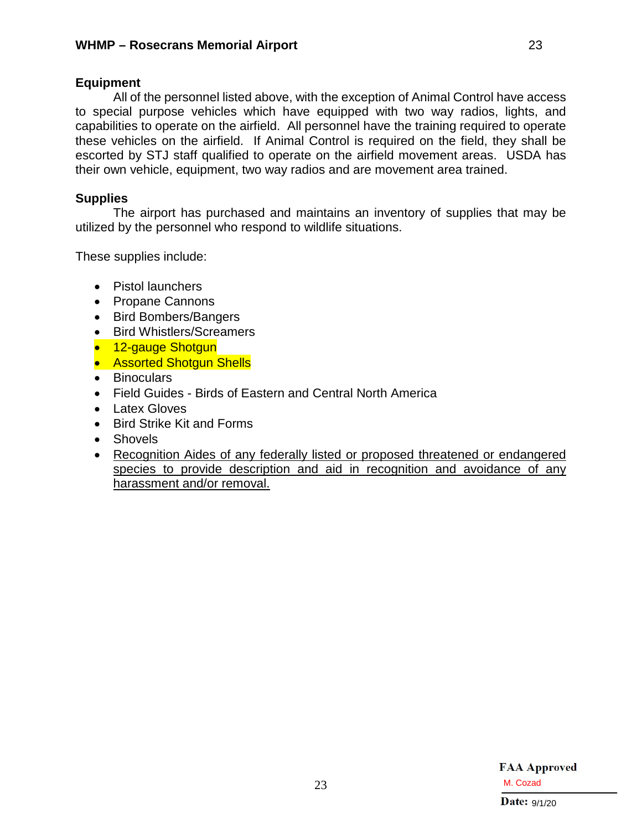## <span id="page-23-0"></span>**Equipment**

All of the personnel listed above, with the exception of Animal Control have access to special purpose vehicles which have equipped with two way radios, lights, and capabilities to operate on the airfield. All personnel have the training required to operate these vehicles on the airfield. If Animal Control is required on the field, they shall be escorted by STJ staff qualified to operate on the airfield movement areas. USDA has their own vehicle, equipment, two way radios and are movement area trained.

# <span id="page-23-1"></span>**Supplies**

The airport has purchased and maintains an inventory of supplies that may be utilized by the personnel who respond to wildlife situations.

These supplies include:

- Pistol launchers
- Propane Cannons
- Bird Bombers/Bangers
- Bird Whistlers/Screamers
- 12-gauge Shotgun
- **Assorted Shotgun Shells**
- Binoculars
- Field Guides Birds of Eastern and Central North America
- Latex Gloves
- Bird Strike Kit and Forms
- Shovels
- Recognition Aides of any federally listed or proposed threatened or endangered species to provide description and aid in recognition and avoidance of any harassment and/or removal.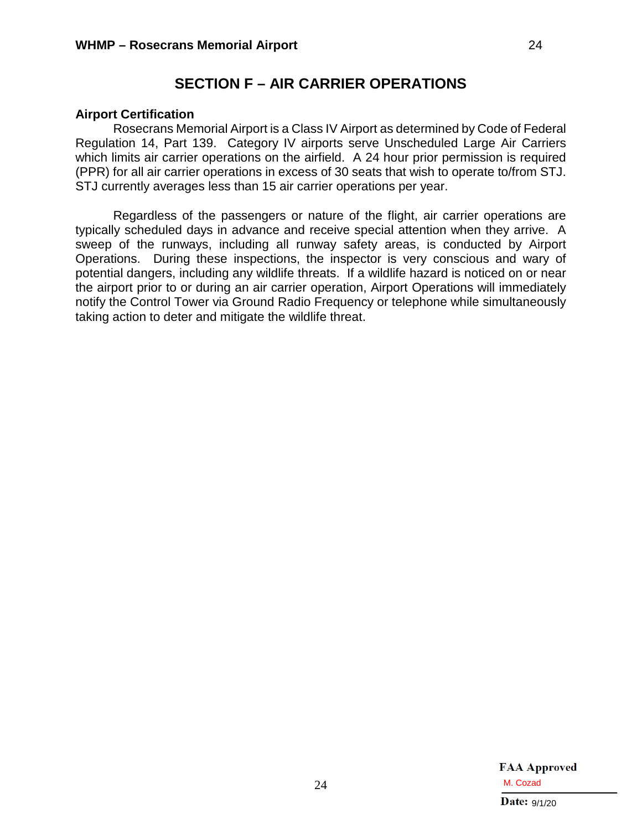# **SECTION F – AIR CARRIER OPERATIONS**

#### <span id="page-24-1"></span><span id="page-24-0"></span>**Airport Certification**

Rosecrans Memorial Airport is a Class IV Airport as determined by Code of Federal Regulation 14, Part 139. Category IV airports serve Unscheduled Large Air Carriers which limits air carrier operations on the airfield. A 24 hour prior permission is required (PPR) for all air carrier operations in excess of 30 seats that wish to operate to/from STJ. STJ currently averages less than 15 air carrier operations per year.

Regardless of the passengers or nature of the flight, air carrier operations are typically scheduled days in advance and receive special attention when they arrive. A sweep of the runways, including all runway safety areas, is conducted by Airport Operations. During these inspections, the inspector is very conscious and wary of potential dangers, including any wildlife threats. If a wildlife hazard is noticed on or near the airport prior to or during an air carrier operation, Airport Operations will immediately notify the Control Tower via Ground Radio Frequency or telephone while simultaneously taking action to deter and mitigate the wildlife threat.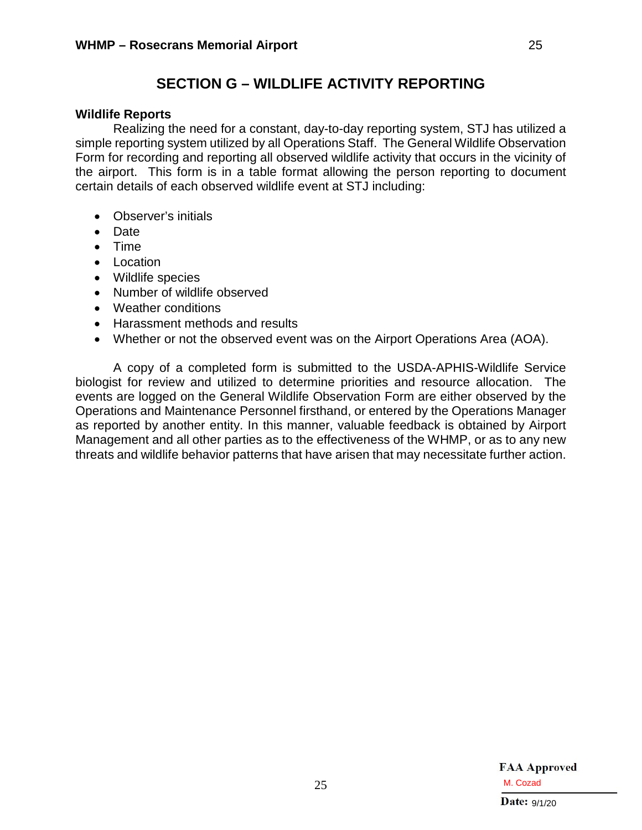# **SECTION G – WILDLIFE ACTIVITY REPORTING**

## <span id="page-25-1"></span><span id="page-25-0"></span>**Wildlife Reports**

Realizing the need for a constant, day-to-day reporting system, STJ has utilized a simple reporting system utilized by all Operations Staff. The General Wildlife Observation Form for recording and reporting all observed wildlife activity that occurs in the vicinity of the airport. This form is in a table format allowing the person reporting to document certain details of each observed wildlife event at STJ including:

- Observer's initials
- Date
- Time
- Location
- Wildlife species
- Number of wildlife observed
- Weather conditions
- Harassment methods and results
- Whether or not the observed event was on the Airport Operations Area (AOA).

A copy of a completed form is submitted to the USDA-APHIS-Wildlife Service biologist for review and utilized to determine priorities and resource allocation. The events are logged on the General Wildlife Observation Form are either observed by the Operations and Maintenance Personnel firsthand, or entered by the Operations Manager as reported by another entity. In this manner, valuable feedback is obtained by Airport Management and all other parties as to the effectiveness of the WHMP, or as to any new threats and wildlife behavior patterns that have arisen that may necessitate further action.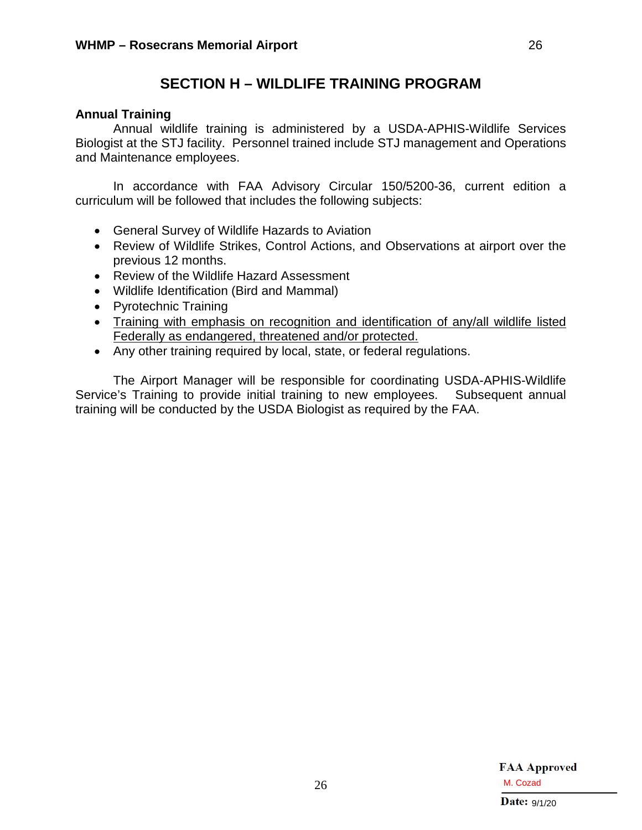# **SECTION H – WILDLIFE TRAINING PROGRAM**

## <span id="page-26-1"></span><span id="page-26-0"></span>**Annual Training**

Annual wildlife training is administered by a USDA-APHIS-Wildlife Services Biologist at the STJ facility. Personnel trained include STJ management and Operations and Maintenance employees.

In accordance with FAA Advisory Circular 150/5200-36, current edition a curriculum will be followed that includes the following subjects:

- General Survey of Wildlife Hazards to Aviation
- Review of Wildlife Strikes, Control Actions, and Observations at airport over the previous 12 months.
- Review of the Wildlife Hazard Assessment
- Wildlife Identification (Bird and Mammal)
- Pyrotechnic Training
- Training with emphasis on recognition and identification of any/all wildlife listed Federally as endangered, threatened and/or protected.
- Any other training required by local, state, or federal regulations.

The Airport Manager will be responsible for coordinating USDA-APHIS-Wildlife Service's Training to provide initial training to new employees. Subsequent annual training will be conducted by the USDA Biologist as required by the FAA.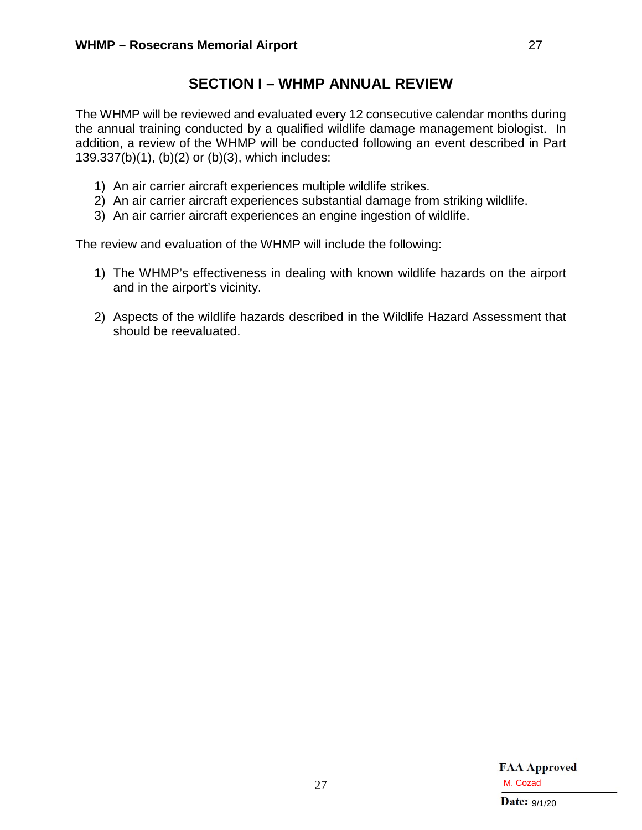# **SECTION I – WHMP ANNUAL REVIEW**

<span id="page-27-0"></span>The WHMP will be reviewed and evaluated every 12 consecutive calendar months during the annual training conducted by a qualified wildlife damage management biologist. In addition, a review of the WHMP will be conducted following an event described in Part 139.337(b)(1), (b)(2) or (b)(3), which includes:

- 1) An air carrier aircraft experiences multiple wildlife strikes.
- 2) An air carrier aircraft experiences substantial damage from striking wildlife.
- 3) An air carrier aircraft experiences an engine ingestion of wildlife.

The review and evaluation of the WHMP will include the following:

- 1) The WHMP's effectiveness in dealing with known wildlife hazards on the airport and in the airport's vicinity.
- 2) Aspects of the wildlife hazards described in the Wildlife Hazard Assessment that should be reevaluated.

27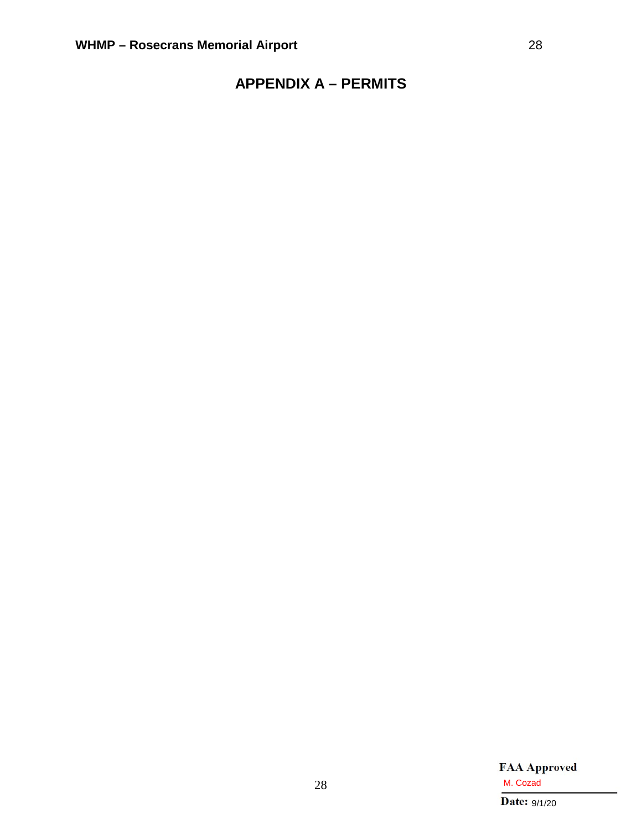# <span id="page-28-0"></span>**APPENDIX A – PERMITS**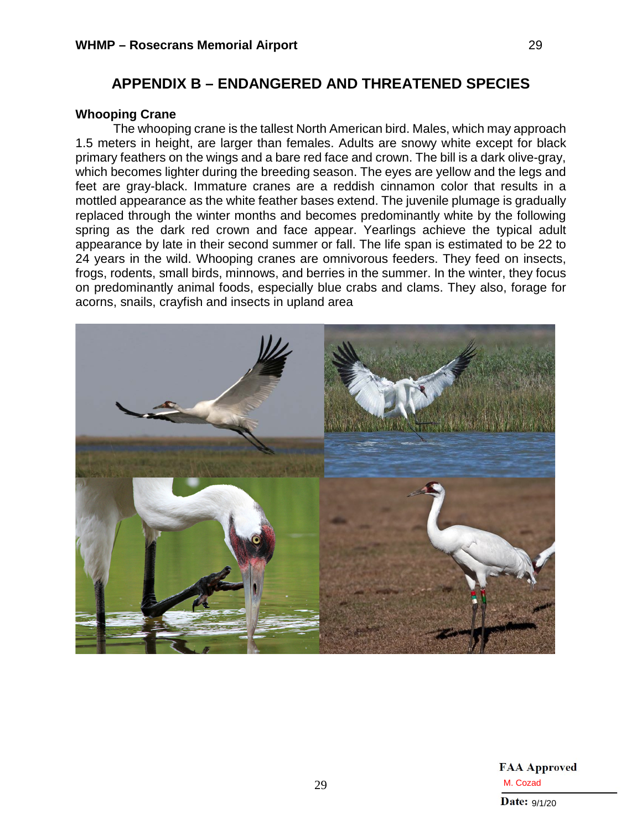# **APPENDIX B – ENDANGERED AND THREATENED SPECIES**

#### <span id="page-29-1"></span><span id="page-29-0"></span>**Whooping Crane**

The whooping crane is the tallest North American bird. Males, which may approach 1.5 meters in height, are larger than females. Adults are snowy white except for black primary feathers on the wings and a bare red face and crown. The bill is a dark olive-gray, which becomes lighter during the breeding season. The eyes are yellow and the legs and feet are gray-black. Immature cranes are a reddish cinnamon color that results in a mottled appearance as the white feather bases extend. The juvenile plumage is gradually replaced through the winter months and becomes predominantly white by the following spring as the dark red crown and face appear. Yearlings achieve the typical adult appearance by late in their second summer or fall. The life span is estimated to be 22 to 24 years in the wild. Whooping cranes are omnivorous feeders. They feed on insects, frogs, rodents, small birds, minnows, and berries in the summer. In the winter, they focus on predominantly animal foods, especially blue crabs and clams. They also, forage for acorns, snails, crayfish and insects in upland area



29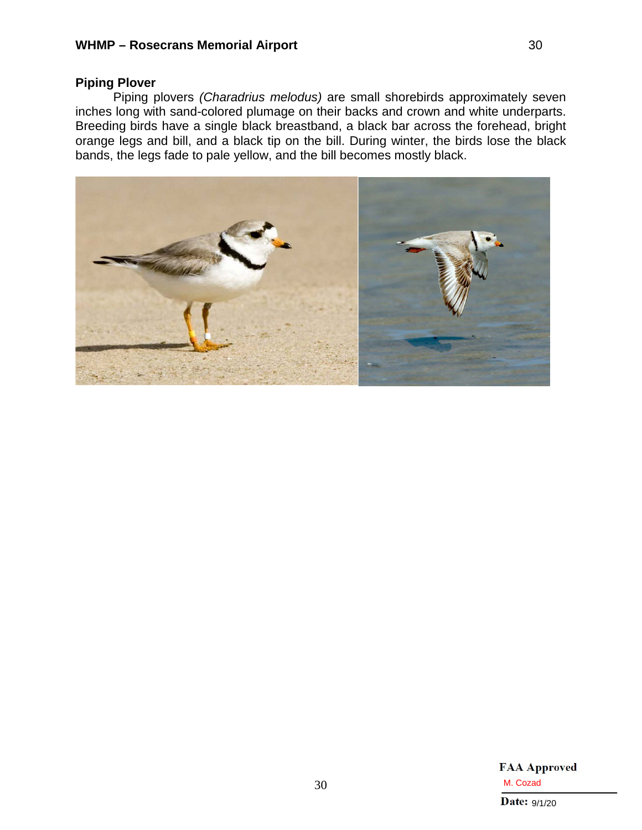# <span id="page-30-0"></span>**Piping Plover**

Piping plovers *(Charadrius melodus)* are small shorebirds approximately seven inches long with sand-colored plumage on their backs and crown and white underparts. Breeding birds have a single black breastband, a black bar across the forehead, bright orange legs and bill, and a black tip on the bill. During winter, the birds lose the black bands, the legs fade to pale yellow, and the bill becomes mostly black.

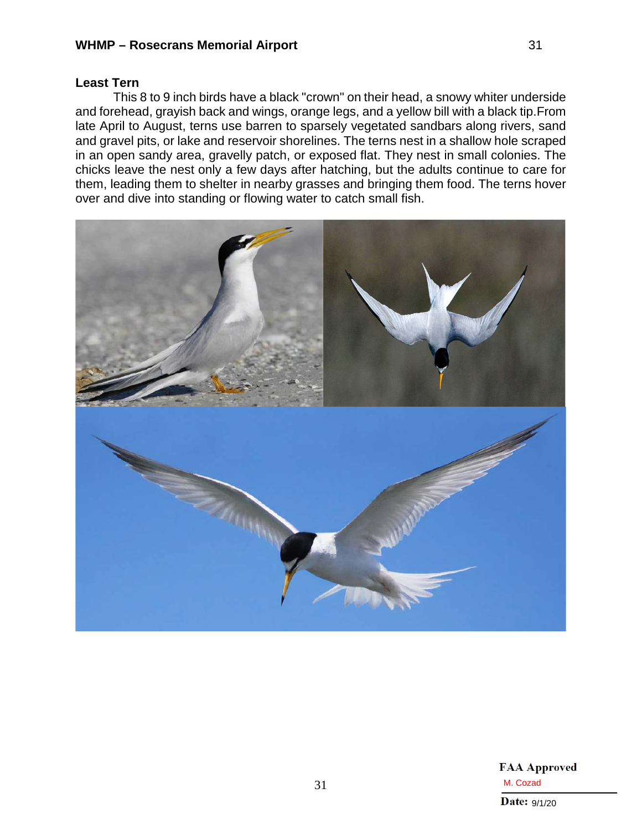#### <span id="page-31-0"></span>**Least Tern**

This 8 to 9 inch birds have a black "crown" on their head, a snowy whiter underside and forehead, grayish back and wings, orange legs, and a yellow bill with a black tip.From late April to August, terns use barren to sparsely vegetated sandbars along rivers, sand and gravel pits, or lake and reservoir shorelines. The terns nest in a shallow hole scraped in an open sandy area, gravelly patch, or exposed flat. They nest in small colonies. The chicks leave the nest only a few days after hatching, but the adults continue to care for them, leading them to shelter in nearby grasses and bringing them food. The terns hover over and dive into standing or flowing water to catch small fish.